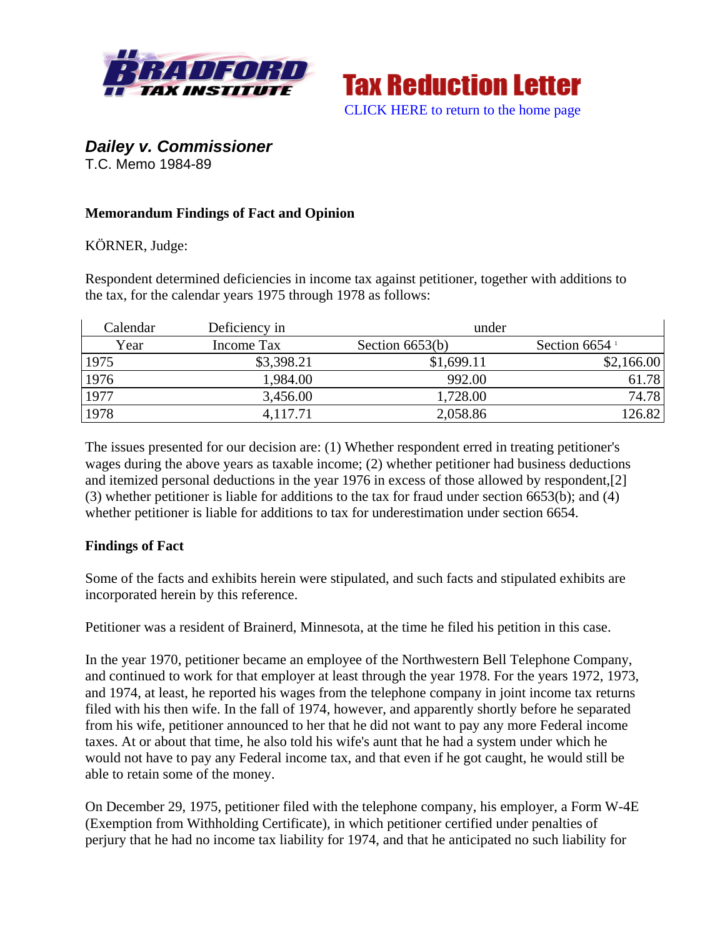



*Dailey v. Commissioner* 

T.C. Memo 1984-89

## **Memorandum Findings of Fact and Opinion**

KÖRNER, Judge:

Respondent determined deficiencies in income tax against petitioner, together with additions to the tax, for the calendar years 1975 through 1978 as follows:

| Calendar | Deficiency in | under             |                             |
|----------|---------------|-------------------|-----------------------------|
| Year     | Income Tax    | Section $6653(b)$ | Section $6654$ <sup>1</sup> |
| 1975     | \$3,398.21    | \$1,699.11        | \$2,166.00                  |
| 1976     | 1,984.00      | 992.00            | 61.78                       |
| 1977     | 3,456.00      | 1,728.00          | 74.78                       |
| 1978     | 4,117.71      | 2,058.86          | 126.82                      |

The issues presented for our decision are: (1) Whether respondent erred in treating petitioner's wages during the above years as taxable income; (2) whether petitioner had business deductions and itemized personal deductions in the year 1976 in excess of those allowed by respondent,[2] (3) whether petitioner is liable for additions to the tax for fraud under section 6653(b); and (4) whether petitioner is liable for additions to tax for underestimation under section 6654.

## **Findings of Fact**

Some of the facts and exhibits herein were stipulated, and such facts and stipulated exhibits are incorporated herein by this reference.

Petitioner was a resident of Brainerd, Minnesota, at the time he filed his petition in this case.

In the year 1970, petitioner became an employee of the Northwestern Bell Telephone Company, and continued to work for that employer at least through the year 1978. For the years 1972, 1973, and 1974, at least, he reported his wages from the telephone company in joint income tax returns filed with his then wife. In the fall of 1974, however, and apparently shortly before he separated from his wife, petitioner announced to her that he did not want to pay any more Federal income taxes. At or about that time, he also told his wife's aunt that he had a system under which he would not have to pay any Federal income tax, and that even if he got caught, he would still be able to retain some of the money.

On December 29, 1975, petitioner filed with the telephone company, his employer, a Form W-4E (Exemption from Withholding Certificate), in which petitioner certified under penalties of perjury that he had no income tax liability for 1974, and that he anticipated no such liability for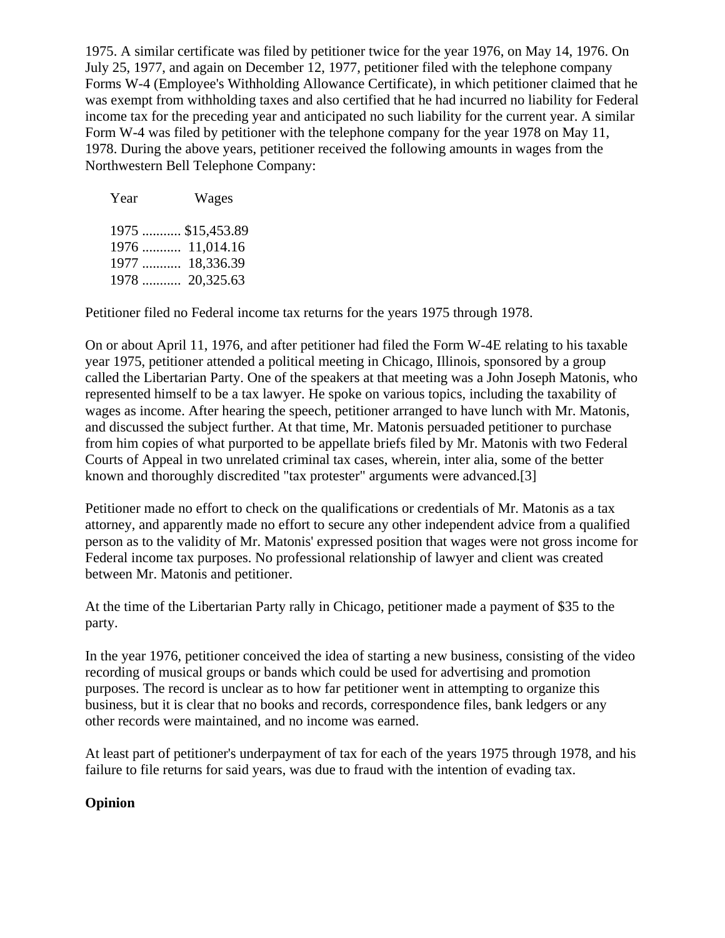1975. A similar certificate was filed by petitioner twice for the year 1976, on May 14, 1976. On July 25, 1977, and again on December 12, 1977, petitioner filed with the telephone company Forms W-4 (Employee's Withholding Allowance Certificate), in which petitioner claimed that he was exempt from withholding taxes and also certified that he had incurred no liability for Federal income tax for the preceding year and anticipated no such liability for the current year. A similar Form W-4 was filed by petitioner with the telephone company for the year 1978 on May 11, 1978. During the above years, petitioner received the following amounts in wages from the Northwestern Bell Telephone Company:

| Year | Wages             |
|------|-------------------|
|      | 1975  \$15,453.89 |
|      | 1976  11,014.16   |
|      | 1977  18,336.39   |
|      | 1978  20,325.63   |

Petitioner filed no Federal income tax returns for the years 1975 through 1978.

On or about April 11, 1976, and after petitioner had filed the Form W-4E relating to his taxable year 1975, petitioner attended a political meeting in Chicago, Illinois, sponsored by a group called the Libertarian Party. One of the speakers at that meeting was a John Joseph Matonis, who represented himself to be a tax lawyer. He spoke on various topics, including the taxability of wages as income. After hearing the speech, petitioner arranged to have lunch with Mr. Matonis, and discussed the subject further. At that time, Mr. Matonis persuaded petitioner to purchase from him copies of what purported to be appellate briefs filed by Mr. Matonis with two Federal Courts of Appeal in two unrelated criminal tax cases, wherein, inter alia, some of the better known and thoroughly discredited "tax protester" arguments were advanced.[3]

Petitioner made no effort to check on the qualifications or credentials of Mr. Matonis as a tax attorney, and apparently made no effort to secure any other independent advice from a qualified person as to the validity of Mr. Matonis' expressed position that wages were not gross income for Federal income tax purposes. No professional relationship of lawyer and client was created between Mr. Matonis and petitioner.

At the time of the Libertarian Party rally in Chicago, petitioner made a payment of \$35 to the party.

In the year 1976, petitioner conceived the idea of starting a new business, consisting of the video recording of musical groups or bands which could be used for advertising and promotion purposes. The record is unclear as to how far petitioner went in attempting to organize this business, but it is clear that no books and records, correspondence files, bank ledgers or any other records were maintained, and no income was earned.

At least part of petitioner's underpayment of tax for each of the years 1975 through 1978, and his failure to file returns for said years, was due to fraud with the intention of evading tax.

## **Opinion**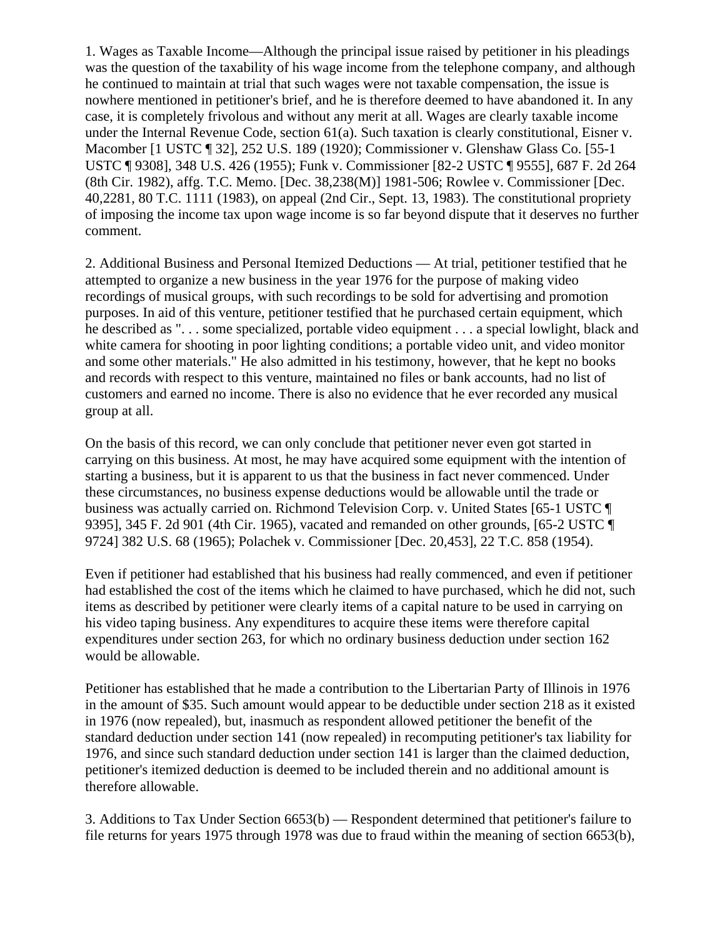1. Wages as Taxable Income—Although the principal issue raised by petitioner in his pleadings was the question of the taxability of his wage income from the telephone company, and although he continued to maintain at trial that such wages were not taxable compensation, the issue is nowhere mentioned in petitioner's brief, and he is therefore deemed to have abandoned it. In any case, it is completely frivolous and without any merit at all. Wages are clearly taxable income under the Internal Revenue Code, section 61(a). Such taxation is clearly constitutional, Eisner v. Macomber [1 USTC ¶ 32], 252 U.S. 189 (1920); Commissioner v. Glenshaw Glass Co. [55-1 USTC ¶ 9308], 348 U.S. 426 (1955); Funk v. Commissioner [82-2 USTC ¶ 9555], 687 F. 2d 264 (8th Cir. 1982), affg. T.C. Memo. [Dec. 38,238(M)] 1981-506; Rowlee v. Commissioner [Dec. 40,2281, 80 T.C. 1111 (1983), on appeal (2nd Cir., Sept. 13, 1983). The constitutional propriety of imposing the income tax upon wage income is so far beyond dispute that it deserves no further comment.

2. Additional Business and Personal Itemized Deductions — At trial, petitioner testified that he attempted to organize a new business in the year 1976 for the purpose of making video recordings of musical groups, with such recordings to be sold for advertising and promotion purposes. In aid of this venture, petitioner testified that he purchased certain equipment, which he described as ". . . some specialized, portable video equipment . . . a special lowlight, black and white camera for shooting in poor lighting conditions; a portable video unit, and video monitor and some other materials." He also admitted in his testimony, however, that he kept no books and records with respect to this venture, maintained no files or bank accounts, had no list of customers and earned no income. There is also no evidence that he ever recorded any musical group at all.

On the basis of this record, we can only conclude that petitioner never even got started in carrying on this business. At most, he may have acquired some equipment with the intention of starting a business, but it is apparent to us that the business in fact never commenced. Under these circumstances, no business expense deductions would be allowable until the trade or business was actually carried on. Richmond Television Corp. v. United States [65-1 USTC ¶ 9395], 345 F. 2d 901 (4th Cir. 1965), vacated and remanded on other grounds, [65-2 USTC ¶ 9724] 382 U.S. 68 (1965); Polachek v. Commissioner [Dec. 20,453], 22 T.C. 858 (1954).

Even if petitioner had established that his business had really commenced, and even if petitioner had established the cost of the items which he claimed to have purchased, which he did not, such items as described by petitioner were clearly items of a capital nature to be used in carrying on his video taping business. Any expenditures to acquire these items were therefore capital expenditures under section 263, for which no ordinary business deduction under section 162 would be allowable.

Petitioner has established that he made a contribution to the Libertarian Party of Illinois in 1976 in the amount of \$35. Such amount would appear to be deductible under section 218 as it existed in 1976 (now repealed), but, inasmuch as respondent allowed petitioner the benefit of the standard deduction under section 141 (now repealed) in recomputing petitioner's tax liability for 1976, and since such standard deduction under section 141 is larger than the claimed deduction, petitioner's itemized deduction is deemed to be included therein and no additional amount is therefore allowable.

3. Additions to Tax Under Section 6653(b) — Respondent determined that petitioner's failure to file returns for years 1975 through 1978 was due to fraud within the meaning of section 6653(b),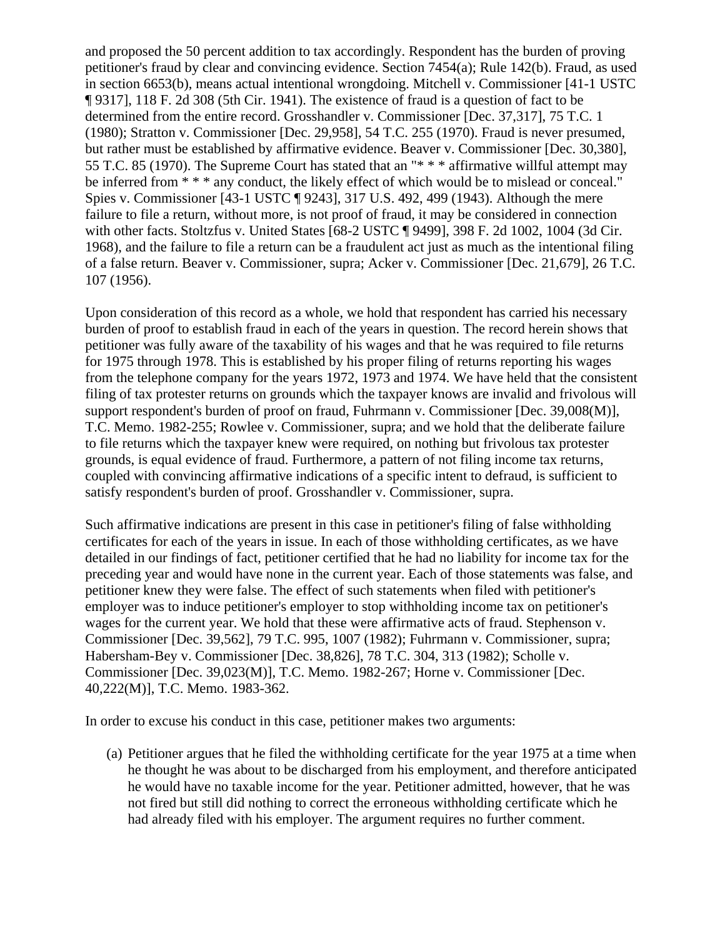and proposed the 50 percent addition to tax accordingly. Respondent has the burden of proving petitioner's fraud by clear and convincing evidence. Section 7454(a); Rule 142(b). Fraud, as used in section 6653(b), means actual intentional wrongdoing. Mitchell v. Commissioner [41-1 USTC ¶ 9317], 118 F. 2d 308 (5th Cir. 1941). The existence of fraud is a question of fact to be determined from the entire record. Grosshandler v. Commissioner [Dec. 37,317], 75 T.C. 1 (1980); Stratton v. Commissioner [Dec. 29,958], 54 T.C. 255 (1970). Fraud is never presumed, but rather must be established by affirmative evidence. Beaver v. Commissioner [Dec. 30,380], 55 T.C. 85 (1970). The Supreme Court has stated that an "\* \* \* affirmative willful attempt may be inferred from \* \* \* any conduct, the likely effect of which would be to mislead or conceal." Spies v. Commissioner [43-1 USTC ¶ 9243], 317 U.S. 492, 499 (1943). Although the mere failure to file a return, without more, is not proof of fraud, it may be considered in connection with other facts. Stoltzfus v. United States [68-2 USTC ¶ 9499], 398 F. 2d 1002, 1004 (3d Cir. 1968), and the failure to file a return can be a fraudulent act just as much as the intentional filing of a false return. Beaver v. Commissioner, supra; Acker v. Commissioner [Dec. 21,679], 26 T.C. 107 (1956).

Upon consideration of this record as a whole, we hold that respondent has carried his necessary burden of proof to establish fraud in each of the years in question. The record herein shows that petitioner was fully aware of the taxability of his wages and that he was required to file returns for 1975 through 1978. This is established by his proper filing of returns reporting his wages from the telephone company for the years 1972, 1973 and 1974. We have held that the consistent filing of tax protester returns on grounds which the taxpayer knows are invalid and frivolous will support respondent's burden of proof on fraud, Fuhrmann v. Commissioner [Dec. 39,008(M)], T.C. Memo. 1982-255; Rowlee v. Commissioner, supra; and we hold that the deliberate failure to file returns which the taxpayer knew were required, on nothing but frivolous tax protester grounds, is equal evidence of fraud. Furthermore, a pattern of not filing income tax returns, coupled with convincing affirmative indications of a specific intent to defraud, is sufficient to satisfy respondent's burden of proof. Grosshandler v. Commissioner, supra.

Such affirmative indications are present in this case in petitioner's filing of false withholding certificates for each of the years in issue. In each of those withholding certificates, as we have detailed in our findings of fact, petitioner certified that he had no liability for income tax for the preceding year and would have none in the current year. Each of those statements was false, and petitioner knew they were false. The effect of such statements when filed with petitioner's employer was to induce petitioner's employer to stop withholding income tax on petitioner's wages for the current year. We hold that these were affirmative acts of fraud. Stephenson v. Commissioner [Dec. 39,562], 79 T.C. 995, 1007 (1982); Fuhrmann v. Commissioner, supra; Habersham-Bey v. Commissioner [Dec. 38,826], 78 T.C. 304, 313 (1982); Scholle v. Commissioner [Dec. 39,023(M)], T.C. Memo. 1982-267; Horne v. Commissioner [Dec. 40,222(M)], T.C. Memo. 1983-362.

In order to excuse his conduct in this case, petitioner makes two arguments:

(a) Petitioner argues that he filed the withholding certificate for the year 1975 at a time when he thought he was about to be discharged from his employment, and therefore anticipated he would have no taxable income for the year. Petitioner admitted, however, that he was not fired but still did nothing to correct the erroneous withholding certificate which he had already filed with his employer. The argument requires no further comment.